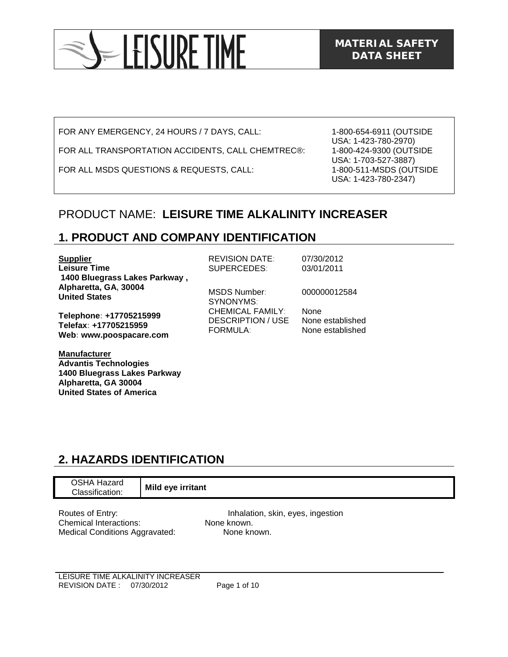

FOR ANY EMERGENCY, 24 HOURS / 7 DAYS, CALL:

FOR ALL TRANSPORTATION ACCIDENTS, CALL CHEMTREC®:

FOR ALL MSDS QUESTIONS & REQUESTS, CALL:

1-800-654-6911 (OUTSIDE USA: 1-423-780-2970) 1-800-424-9300 (OUTSIDE USA: 1-703-527-3887) 1-800-511-MSDS (OUTSIDE USA: 1-423-780-2347)

### PRODUCT NAME: **LEISURE TIME ALKALINITY INCREASER**

## **1. PRODUCT AND COMPANY IDENTIFICATION**

| <b>Supplier</b><br><b>Leisure Time</b><br>1400 Bluegrass Lakes Parkway,     | <b>REVISION DATE:</b><br>SUPERCEDES:                                   | 07/30/2012<br>03/01/2011                            |
|-----------------------------------------------------------------------------|------------------------------------------------------------------------|-----------------------------------------------------|
| Alpharetta, GA, 30004<br><b>United States</b>                               | MSDS Number:<br>SYNONYMS:                                              | 000000012584                                        |
| Telephone: +17705215999<br>Telefax: +17705215959<br>Web: www.poospacare.com | <b>CHEMICAL FAMILY:</b><br><b>DESCRIPTION / USE</b><br><b>FORMULA:</b> | <b>None</b><br>None established<br>None established |
| <b>Manufacturer</b><br><b>Advantis Technologies</b>                         |                                                                        |                                                     |

## **2. HAZARDS IDENTIFICATION**

**1400 Bluegrass Lakes Parkway** 

**Alpharetta, GA 30004 United States of America** 

| OSHA Hazard                           | Mild eye irritant                 |
|---------------------------------------|-----------------------------------|
| Classification:                       |                                   |
| Routes of Entry:                      | Inhalation, skin, eyes, ingestion |
| <b>Chemical Interactions:</b>         | None known.                       |
| <b>Medical Conditions Aggravated:</b> | None known.                       |

LEISURE TIME ALKALINITY INCREASER REVISION DATE : 07/30/2012 Page 1 of 10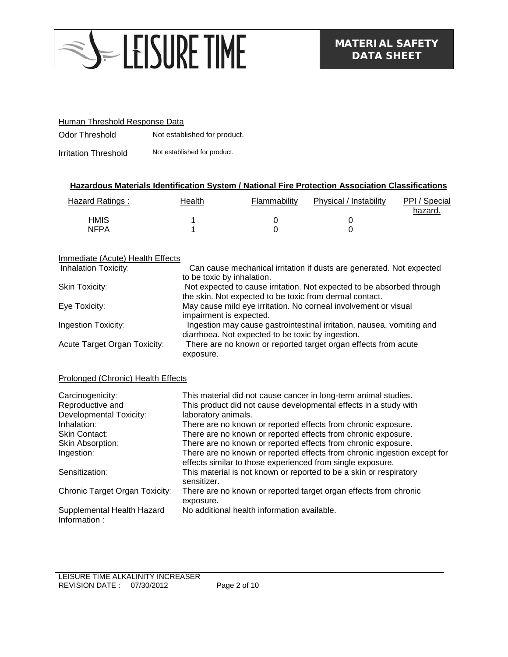

#### Human Threshold Response Data

Odor Threshold Not established for product.

Irritation Threshold Not established for product.

#### **Hazardous Materials Identification System / National Fire Protection Association Classifications**

| Hazard Ratings: | Health | Flammability | Physical / Instability | PPI / Special<br>hazard. |
|-----------------|--------|--------------|------------------------|--------------------------|
| <b>HMIS</b>     |        |              |                        |                          |
| <b>NFPA</b>     |        |              |                        |                          |

#### Immediate (Acute) Health Effects

| <b>Inhalation Toxicity:</b>  | Can cause mechanical irritation if dusts are generated. Not expected<br>to be toxic by inhalation.                               |
|------------------------------|----------------------------------------------------------------------------------------------------------------------------------|
| Skin Toxicity:               | Not expected to cause irritation. Not expected to be absorbed through<br>the skin. Not expected to be toxic from dermal contact. |
| Eye Toxicity:                | May cause mild eye irritation. No corneal involvement or visual<br>impairment is expected.                                       |
| Ingestion Toxicity:          | Ingestion may cause gastrointestinal irritation, nausea, vomiting and<br>diarrhoea. Not expected to be toxic by ingestion.       |
| Acute Target Organ Toxicity: | There are no known or reported target organ effects from acute<br>exposure.                                                      |

#### Prolonged (Chronic) Health Effects

| Carcinogenicity:                           | This material did not cause cancer in long-term animal studies.                                                                        |
|--------------------------------------------|----------------------------------------------------------------------------------------------------------------------------------------|
| Reproductive and                           | This product did not cause developmental effects in a study with                                                                       |
| Developmental Toxicity:                    | laboratory animals.                                                                                                                    |
| Inhalation:                                | There are no known or reported effects from chronic exposure.                                                                          |
| <b>Skin Contact:</b>                       | There are no known or reported effects from chronic exposure.                                                                          |
| Skin Absorption:                           | There are no known or reported effects from chronic exposure.                                                                          |
| Ingestion:                                 | There are no known or reported effects from chronic ingestion except for<br>effects similar to those experienced from single exposure. |
| Sensitization:                             | This material is not known or reported to be a skin or respiratory<br>sensitizer.                                                      |
| Chronic Target Organ Toxicity:             | There are no known or reported target organ effects from chronic<br>exposure.                                                          |
| Supplemental Health Hazard<br>Information: | No additional health information available.                                                                                            |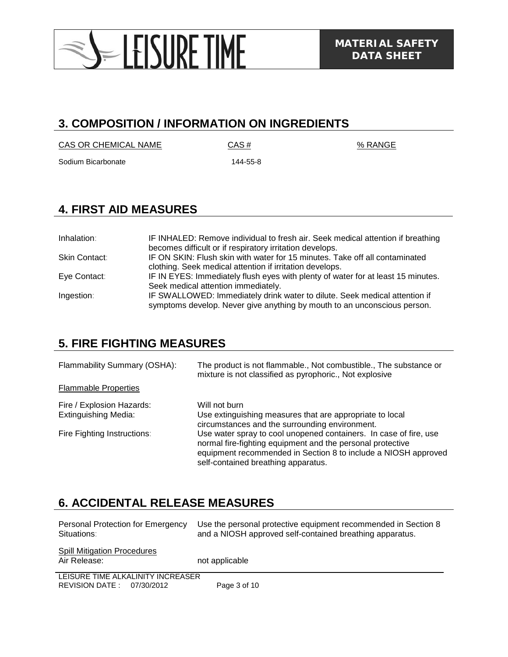

### **3. COMPOSITION / INFORMATION ON INGREDIENTS**

 $CAS OR CHEMICAL NAME$   $CAS #$   $% RANGE$ 

Sodium Bicarbonate 144-55-8

## **4. FIRST AID MEASURES**

| Inhalation:   | IF INHALED: Remove individual to fresh air. Seek medical attention if breathing<br>becomes difficult or if respiratory irritation develops.                                                   |
|---------------|-----------------------------------------------------------------------------------------------------------------------------------------------------------------------------------------------|
| Skin Contact: | IF ON SKIN: Flush skin with water for 15 minutes. Take off all contaminated<br>clothing. Seek medical attention if irritation develops.                                                       |
| Eye Contact:  | IF IN EYES: Immediately flush eyes with plenty of water for at least 15 minutes.                                                                                                              |
| Ingestion:    | Seek medical attention immediately.<br>IF SWALLOWED: Immediately drink water to dilute. Seek medical attention if<br>symptoms develop. Never give anything by mouth to an unconscious person. |

## **5. FIRE FIGHTING MEASURES**

Flammability Summary (OSHA): The product is not flammable., Not combustible., The substance or mixture is not classified as pyrophoric., Not explosive Flammable Properties Fire / Explosion Hazards: Will not burn Extinguishing Media: Use extinguishing measures that are appropriate to local circumstances and the surrounding environment. Fire Fighting Instructions: Use water spray to cool unopened containers. In case of fire, use normal fire-fighting equipment and the personal protective equipment recommended in Section 8 to include a NIOSH approved self-contained breathing apparatus.

## **6. ACCIDENTAL RELEASE MEASURES**

| Personal Protection for Emergency<br>Situations:                 | Use the personal protective equipment recommended in Section 8<br>and a NIOSH approved self-contained breathing apparatus. |
|------------------------------------------------------------------|----------------------------------------------------------------------------------------------------------------------------|
| <b>Spill Mitigation Procedures</b><br>Air Release:               | not applicable                                                                                                             |
| LEISURE TIME ALKALINITY INCREASER<br>REVISION DATE: $07/30/2012$ | Page 3 of 10                                                                                                               |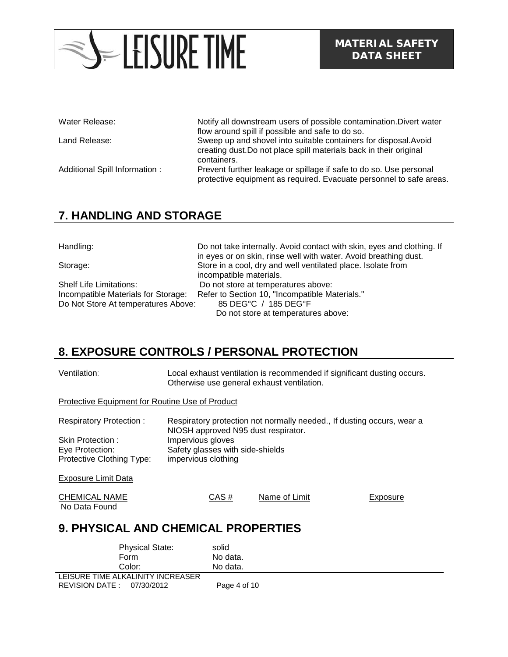# -LEISURE TIME

Water Release: Notify all downstream users of possible contamination. Divert water flow around spill if possible and safe to do so. Land Release: Sweep up and shovel into suitable containers for disposal.Avoid creating dust.Do not place spill materials back in their original containers. Additional Spill Information : Prevent further leakage or spillage if safe to do so. Use personal protective equipment as required. Evacuate personnel to safe areas.

## **7. HANDLING AND STORAGE**

Handling: Do not take internally. Avoid contact with skin, eyes and clothing. If in eyes or on skin, rinse well with water. Avoid breathing dust. Storage: Store in a cool, dry and well ventilated place. Isolate from incompatible materials. Shelf Life Limitations: Do not store at temperatures above: Refer to Section 10, "Incompatible Materials." Do Not Store At temperatures Above: 85 DEG°C / 185 DEG°F Do not store at temperatures above:

## **8. EXPOSURE CONTROLS / PERSONAL PROTECTION**

| Ventilation:                                    |                                     | Otherwise use general exhaust ventilation. | Local exhaust ventilation is recommended if significant dusting occurs. |
|-------------------------------------------------|-------------------------------------|--------------------------------------------|-------------------------------------------------------------------------|
| Protective Equipment for Routine Use of Product |                                     |                                            |                                                                         |
| <b>Respiratory Protection:</b>                  | NIOSH approved N95 dust respirator. |                                            | Respiratory protection not normally needed., If dusting occurs, wear a  |
| Skin Protection:                                | Impervious gloves                   |                                            |                                                                         |
| Eye Protection:                                 | Safety glasses with side-shields    |                                            |                                                                         |
| Protective Clothing Type:                       | impervious clothing                 |                                            |                                                                         |
| <b>Exposure Limit Data</b>                      |                                     |                                            |                                                                         |
| <b>CHEMICAL NAME</b>                            | CAS#                                | Name of Limit                              | Exposure                                                                |
| No Data Found                                   |                                     |                                            |                                                                         |
|                                                 |                                     |                                            |                                                                         |

## **9. PHYSICAL AND CHEMICAL PROPERTIES**

| <b>Physical State:</b>            | solid        |
|-----------------------------------|--------------|
| Form                              | No data.     |
| Color:                            | No data.     |
| LEISURE TIME ALKALINITY INCREASER |              |
| REVISION DATE: 07/30/2012         | Page 4 of 10 |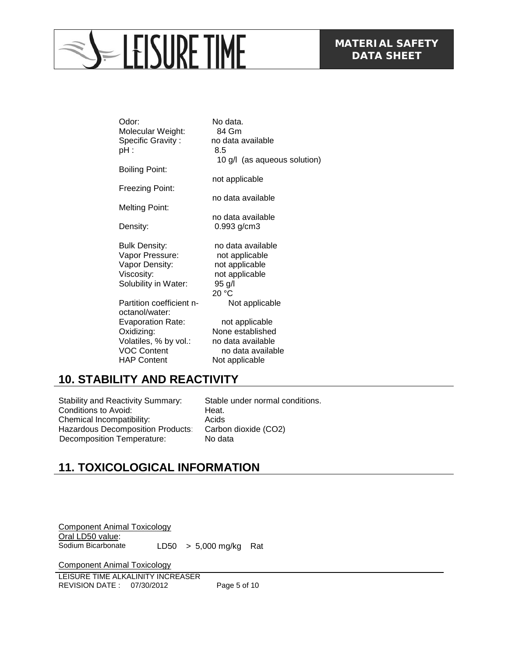# **ELEISURE TIME**

| Odor:<br>Molecular Weight:<br>Specific Gravity:<br>pH :                                                     | No data.<br>84 Gm<br>no data available<br>8.5                                                  |
|-------------------------------------------------------------------------------------------------------------|------------------------------------------------------------------------------------------------|
| <b>Boiling Point:</b>                                                                                       | 10 g/l (as aqueous solution)                                                                   |
| Freezing Point:                                                                                             | not applicable                                                                                 |
|                                                                                                             | no data available                                                                              |
| <b>Melting Point:</b>                                                                                       | no data available                                                                              |
| Density:                                                                                                    | 0.993 g/cm3                                                                                    |
| <b>Bulk Density:</b><br>Vapor Pressure:<br>Vapor Density:<br>Viscosity:<br>Solubility in Water:             | no data available<br>not applicable<br>not applicable<br>not applicable<br>$95$ g/l<br>20 °C   |
| Partition coefficient n-<br>octanol/water:                                                                  | Not applicable                                                                                 |
| <b>Evaporation Rate:</b><br>Oxidizing:<br>Volatiles, % by vol.:<br><b>VOC Content</b><br><b>HAP Content</b> | not applicable<br>None established<br>no data available<br>no data available<br>Not applicable |

## **10. STABILITY AND REACTIVITY**

Stability and Reactivity Summary: Stable under normal conditions. Conditions to Avoid: Heat. Chemical Incompatibility: Acids<br>
Hazardous Decomposition Products: Carbon dioxide (CO2) Hazardous Decomposition Products: Carbon differential Decomposition Temperature: Decomposition Temperature:

## **11. TOXICOLOGICAL INFORMATION**

Component Animal Toxicology Oral LD50 value:<br>Sodium Bicarbonate  $LDS0 > 5,000$  mg/kg Rat

Component Animal Toxicology

LEISURE TIME ALKALINITY INCREASER REVISION DATE : 07/30/2012 Page 5 of 10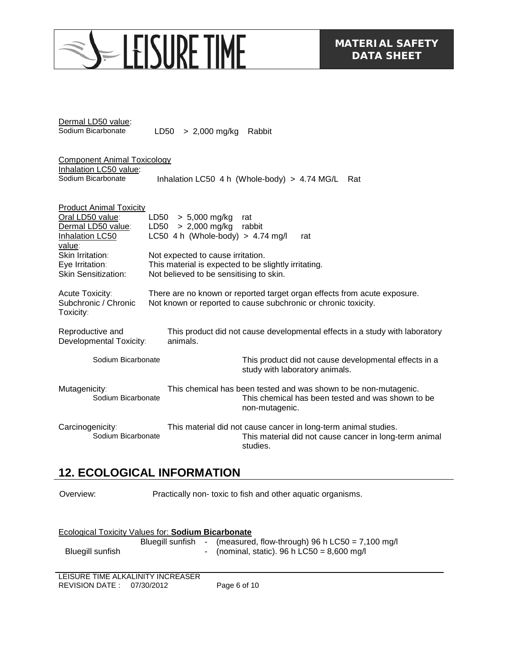# S-LEISURE TIME

| Dermal LD50 value: |                             |  |
|--------------------|-----------------------------|--|
| Sodium Bicarbonate | LD50 $>$ 2,000 mg/kg Rabbit |  |

| <b>Component Animal Toxicology</b>                                |                                                                                                                                            |
|-------------------------------------------------------------------|--------------------------------------------------------------------------------------------------------------------------------------------|
| Inhalation LC50 value:<br>Sodium Bicarbonate                      | Inhalation LC50 4 h (Whole-body) $> 4.74$ MG/L<br>Rat                                                                                      |
| <b>Product Animal Toxicity</b><br>Oral LD50 value:                | $> 5,000$ mg/kg<br>LD50<br>rat                                                                                                             |
| Dermal LD50 value:<br>Inhalation LC50<br>value:                   | $LD50 > 2,000$ mg/kg<br>rabbit<br>LC50 4 h (Whole-body) > $4.74$ mg/l<br>rat                                                               |
| Skin Irritation:<br>Eye Irritation:<br><b>Skin Sensitization:</b> | Not expected to cause irritation.<br>This material is expected to be slightly irritating.<br>Not believed to be sensitising to skin.       |
| Acute Toxicity:<br>Subchronic / Chronic<br>Toxicity:              | There are no known or reported target organ effects from acute exposure.<br>Not known or reported to cause subchronic or chronic toxicity. |
| Reproductive and<br>Developmental Toxicity:                       | This product did not cause developmental effects in a study with laboratory<br>animals.                                                    |
| Sodium Bicarbonate                                                | This product did not cause developmental effects in a<br>study with laboratory animals.                                                    |
| Mutagenicity:<br>Sodium Bicarbonate                               | This chemical has been tested and was shown to be non-mutagenic.<br>This chemical has been tested and was shown to be<br>non-mutagenic.    |

Carcinogenicity: This material did not cause cancer in long-term animal studies. This material did not cause cancer in long-term animal studies.

### **12. ECOLOGICAL INFORMATION**

Overview: Practically non- toxic to fish and other aquatic organisms.

| Ecological Toxicity Values for: Sodium Bicarbonate |  |  |                                                                                                                                       |  |  |
|----------------------------------------------------|--|--|---------------------------------------------------------------------------------------------------------------------------------------|--|--|
| Bluegill sunfish                                   |  |  | Bluegill sunfish - (measured, flow-through) 96 h LC50 = $7,100 \text{ mg/l}$<br>- (nominal, static). 96 h LC50 = $8,600 \text{ mg/l}$ |  |  |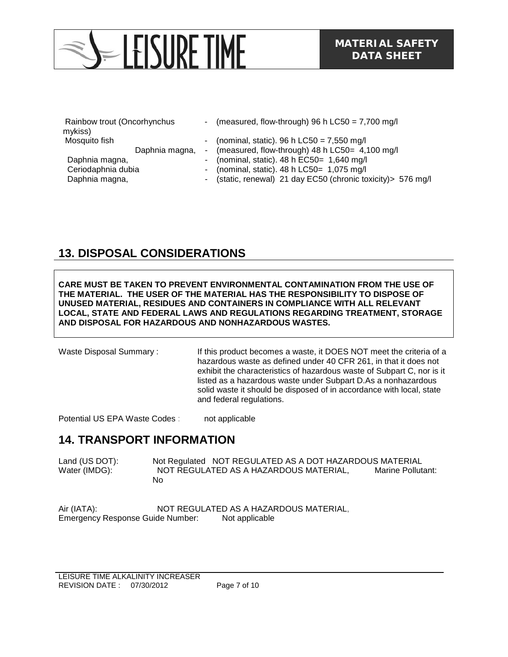# $=$  LEISURE TIME

| Rainbow trout (Oncorhynchus |  | - (measured, flow-through) 96 h $LC50 = 7,700$ mg/l           |
|-----------------------------|--|---------------------------------------------------------------|
| mykiss)                     |  |                                                               |
| Mosquito fish               |  | - (nominal, static). 96 h $LC50 = 7,550$ mg/l                 |
| Daphnia magna,              |  | - (measured, flow-through) 48 h LC50= 4,100 mg/l              |
| Daphnia magna,              |  | - (nominal, static). $48 h$ EC50= 1,640 mg/l                  |
| Ceriodaphnia dubia          |  | - (nominal, static). $48 h$ LC50= 1,075 mg/l                  |
| Daphnia magna,              |  | - (static, renewal) 21 day EC50 (chronic toxicity) > 576 mg/l |

## **13. DISPOSAL CONSIDERATIONS**

**CARE MUST BE TAKEN TO PREVENT ENVIRONMENTAL CONTAMINATION FROM THE USE OF THE MATERIAL. THE USER OF THE MATERIAL HAS THE RESPONSIBILITY TO DISPOSE OF UNUSED MATERIAL, RESIDUES AND CONTAINERS IN COMPLIANCE WITH ALL RELEVANT LOCAL, STATE AND FEDERAL LAWS AND REGULATIONS REGARDING TREATMENT, STORAGE AND DISPOSAL FOR HAZARDOUS AND NONHAZARDOUS WASTES.** 

Waste Disposal Summary : If this product becomes a waste, it DOES NOT meet the criteria of a hazardous waste as defined under 40 CFR 261, in that it does not exhibit the characteristics of hazardous waste of Subpart C, nor is it listed as a hazardous waste under Subpart D.As a nonhazardous solid waste it should be disposed of in accordance with local, state and federal regulations.

Potential US EPA Waste Codes : not applicable

#### **14. TRANSPORT INFORMATION**

Land (US DOT): Not Regulated NOT REGULATED AS A DOT HAZARDOUS MATERIAL Water (IMDG): NOT REGULATED AS A HAZARDOUS MATERIAL, Marine Pollutant: No

Air (IATA): NOT REGULATED AS A HAZARDOUS MATERIAL, Emergency Response Guide Number: Not applicable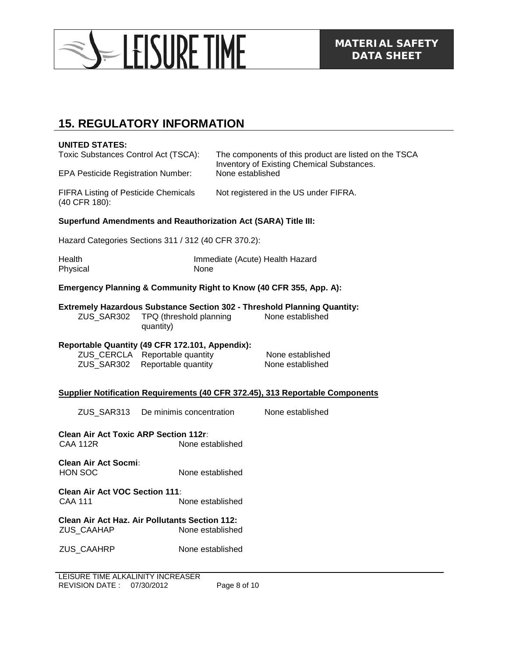

### **15. REGULATORY INFORMATION**

#### **UNITED STATES:**

EPA Pesticide Registration Number: None established

Toxic Substances Control Act (TSCA): The components of this product are listed on the TSCA Inventory of Existing Chemical Substances.

FIFRA Listing of Pesticide Chemicals (40 CFR 180):

Not registered in the US under FIFRA.

None established

#### **Superfund Amendments and Reauthorization Act (SARA) Title III:**

Hazard Categories Sections 311 / 312 (40 CFR 370.2):

| Health   | Immediate (Acute) Health Hazard |
|----------|---------------------------------|
| Physical | None                            |

#### **Emergency Planning & Community Right to Know (40 CFR 355, App. A):**

#### **Extremely Hazardous Substance Section 302 - Threshold Planning Quantity:**

ZUS\_SAR302 TPQ (threshold planning quantity)

#### **Reportable Quantity (49 CFR 172.101, Appendix):**

ZUS\_CERCLA Reportable quantity None established ZUS\_SAR302 Reportable quantity None established

#### **Supplier Notification Requirements (40 CFR 372.45), 313 Reportable Components**

ZUS\_SAR313 De minimis concentration None established

**Clean Air Act Toxic ARP Section 112r:** None established

**Clean Air Act Socmi:** HON SOC None established

**Clean Air Act VOC Section 111:** CAA 111 None established

**Clean Air Act Haz. Air Pollutants Section 112:** ZUS\_CAAHAP None established

ZUS\_CAAHRP None established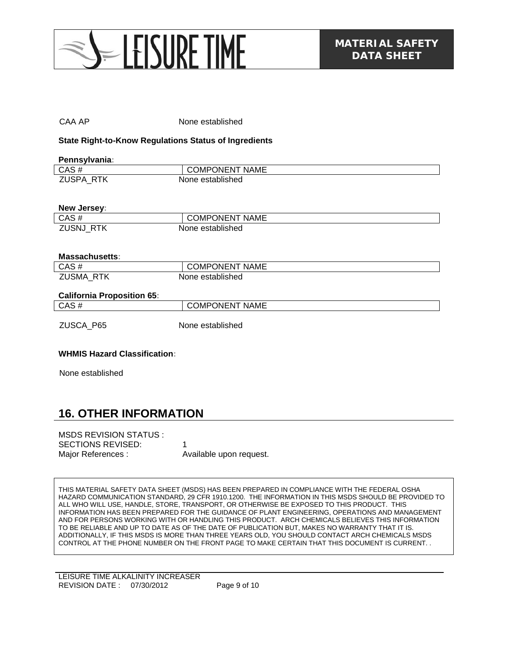

| CAA AP                                                       | None established      |  |  |
|--------------------------------------------------------------|-----------------------|--|--|
| <b>State Right-to-Know Regulations Status of Ingredients</b> |                       |  |  |
| Pennsylvania:                                                |                       |  |  |
| $CAS \; \overline{\#}$                                       | <b>COMPONENT NAME</b> |  |  |
| ZUSPA_RTK                                                    | None established      |  |  |
|                                                              |                       |  |  |
| New Jersey:                                                  |                       |  |  |
| CAS#                                                         | <b>COMPONENT NAME</b> |  |  |
| ZUSNJ_RTK                                                    | None established      |  |  |
|                                                              |                       |  |  |
|                                                              |                       |  |  |
| <b>Massachusetts:</b>                                        |                       |  |  |
| CAS#                                                         | <b>COMPONENT NAME</b> |  |  |
|                                                              | None established      |  |  |
| ZUSMA RTK                                                    |                       |  |  |
|                                                              |                       |  |  |
| <b>California Proposition 65:</b>                            |                       |  |  |
| CAS#                                                         | <b>COMPONENT NAME</b> |  |  |
|                                                              |                       |  |  |
|                                                              | None established      |  |  |
| ZUSCA_P65                                                    |                       |  |  |
|                                                              |                       |  |  |
| <b>WHMIS Hazard Classification:</b>                          |                       |  |  |

#### **16. OTHER INFORMATION**

| MSDS REVISION STATUS :   |                         |
|--------------------------|-------------------------|
| <b>SECTIONS REVISED:</b> |                         |
| Major References :       | Available upon request. |

THIS MATERIAL SAFETY DATA SHEET (MSDS) HAS BEEN PREPARED IN COMPLIANCE WITH THE FEDERAL OSHA HAZARD COMMUNICATION STANDARD, 29 CFR 1910.1200. THE INFORMATION IN THIS MSDS SHOULD BE PROVIDED TO ALL WHO WILL USE, HANDLE, STORE, TRANSPORT, OR OTHERWISE BE EXPOSED TO THIS PRODUCT. THIS INFORMATION HAS BEEN PREPARED FOR THE GUIDANCE OF PLANT ENGINEERING, OPERATIONS AND MANAGEMENT AND FOR PERSONS WORKING WITH OR HANDLING THIS PRODUCT. ARCH CHEMICALS BELIEVES THIS INFORMATION TO BE RELIABLE AND UP TO DATE AS OF THE DATE OF PUBLICATION BUT, MAKES NO WARRANTY THAT IT IS. ADDITIONALLY, IF THIS MSDS IS MORE THAN THREE YEARS OLD, YOU SHOULD CONTACT ARCH CHEMICALS MSDS CONTROL AT THE PHONE NUMBER ON THE FRONT PAGE TO MAKE CERTAIN THAT THIS DOCUMENT IS CURRENT. .

LEISURE TIME ALKALINITY INCREASER REVISION DATE : 07/30/2012 Page 9 of 10